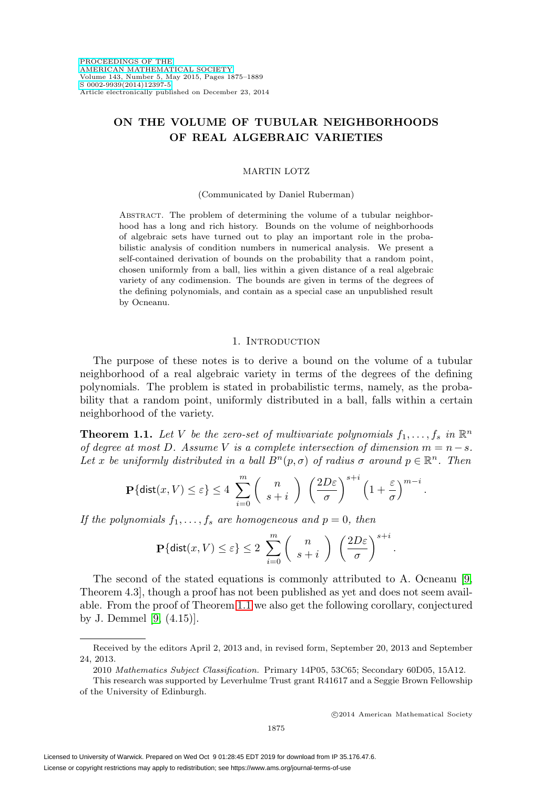# **ON THE VOLUME OF TUBULAR NEIGHBORHOODS OF REAL ALGEBRAIC VARIETIES**

## MARTIN LOTZ

#### (Communicated by Daniel Ruberman)

ABSTRACT. The problem of determining the volume of a tubular neighborhood has a long and rich history. Bounds on the volume of neighborhoods of algebraic sets have turned out to play an important role in the probabilistic analysis of condition numbers in numerical analysis. We present a self-contained derivation of bounds on the probability that a random point, chosen uniformly from a ball, lies within a given distance of a real algebraic variety of any codimension. The bounds are given in terms of the degrees of the defining polynomials, and contain as a special case an unpublished result by Ocneanu.

#### 1. Introduction

The purpose of these notes is to derive a bound on the volume of a tubular neighborhood of a real algebraic variety in terms of the degrees of the defining polynomials. The problem is stated in probabilistic terms, namely, as the probability that a random point, uniformly distributed in a ball, falls within a certain neighborhood of the variety.

<span id="page-0-0"></span>**Theorem 1.1.** Let V be the zero-set of multivariate polynomials  $f_1, \ldots, f_s$  in  $\mathbb{R}^n$ of degree at most D. Assume V is a complete intersection of dimension  $m = n - s$ . Let x be uniformly distributed in a ball  $B<sup>n</sup>(p, \sigma)$  of radius  $\sigma$  around  $p \in \mathbb{R}^n$ . Then

$$
\mathbf{P}\{\text{dist}(x, V) \le \varepsilon\} \le 4 \sum_{i=0}^{m} \binom{n}{s+i} \left(\frac{2D\varepsilon}{\sigma}\right)^{s+i} \left(1 + \frac{\varepsilon}{\sigma}\right)^{m-i}
$$

If the polynomials  $f_1, \ldots, f_s$  are homogeneous and  $p = 0$ , then

$$
\mathbf{P}\{\text{dist}(x,V)\leq\varepsilon\}\leq 2\sum_{i=0}^m\left(\begin{array}{c}n\\s+i\end{array}\right)\left(\frac{2D\varepsilon}{\sigma}\right)^{s+i}.
$$

The second of the stated equations is commonly attributed to A. Ocneanu [\[9,](#page-13-0) Theorem 4.3], though a proof has not been published as yet and does not seem available. From the proof of Theorem [1.1](#page-0-0) we also get the following corollary, conjectured by J. Demmel [\[9,](#page-13-0) (4.15)].

.

Received by the editors April 2, 2013 and, in revised form, September 20, 2013 and September 24, 2013.

<sup>2010</sup> Mathematics Subject Classification. Primary 14P05, 53C65; Secondary 60D05, 15A12.

This research was supported by Leverhulme Trust grant R41617 and a Seggie Brown Fellowship of the University of Edinburgh.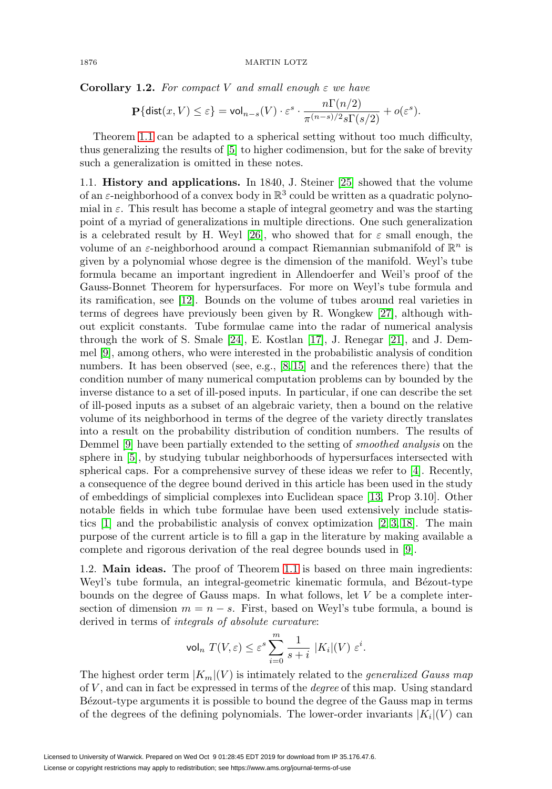<span id="page-1-0"></span>**Corollary 1.2.** For compact V and small enough  $\varepsilon$  we have

$$
\mathbf{P}\{\mathrm{dist}(x,V) \leq \varepsilon\} = \mathrm{vol}_{n-s}(V) \cdot \varepsilon^s \cdot \frac{n \Gamma(n/2)}{\pi^{(n-s)/2} s \Gamma(s/2)} + o(\varepsilon^s).
$$

Theorem [1.1](#page-0-0) can be adapted to a spherical setting without too much difficulty, thus generalizing the results of [\[5\]](#page-13-1) to higher codimension, but for the sake of brevity such a generalization is omitted in these notes.

1.1. **History and applications.** In 1840, J. Steiner [\[25\]](#page-14-0) showed that the volume of an  $\varepsilon$ -neighborhood of a convex body in  $\mathbb{R}^3$  could be written as a quadratic polynomial in  $\varepsilon$ . This result has become a staple of integral geometry and was the starting point of a myriad of generalizations in multiple directions. One such generalization is a celebrated result by H. Weyl [\[26\]](#page-14-1), who showed that for  $\varepsilon$  small enough, the volume of an  $\varepsilon$ -neighborhood around a compact Riemannian submanifold of  $\mathbb{R}^n$  is given by a polynomial whose degree is the dimension of the manifold. Weyl's tube formula became an important ingredient in Allendoerfer and Weil's proof of the Gauss-Bonnet Theorem for hypersurfaces. For more on Weyl's tube formula and its ramification, see [\[12\]](#page-13-2). Bounds on the volume of tubes around real varieties in terms of degrees have previously been given by R. Wongkew [\[27\]](#page-14-2), although without explicit constants. Tube formulae came into the radar of numerical analysis through the work of S. Smale [\[24\]](#page-14-3), E. Kostlan [\[17\]](#page-13-3), J. Renegar [\[21\]](#page-13-4), and J. Demmel [\[9\]](#page-13-0), among others, who were interested in the probabilistic analysis of condition numbers. It has been observed (see, e.g., [\[8,](#page-13-5) [15\]](#page-13-6) and the references there) that the condition number of many numerical computation problems can by bounded by the inverse distance to a set of ill-posed inputs. In particular, if one can describe the set of ill-posed inputs as a subset of an algebraic variety, then a bound on the relative volume of its neighborhood in terms of the degree of the variety directly translates into a result on the probability distribution of condition numbers. The results of Demmel [\[9\]](#page-13-0) have been partially extended to the setting of smoothed analysis on the sphere in [\[5\]](#page-13-1), by studying tubular neighborhoods of hypersurfaces intersected with spherical caps. For a comprehensive survey of these ideas we refer to [\[4\]](#page-13-7). Recently, a consequence of the degree bound derived in this article has been used in the study of embeddings of simplicial complexes into Euclidean space [\[13,](#page-13-8) Prop 3.10]. Other notable fields in which tube formulae have been used extensively include statistics  $[1]$  and the probabilistic analysis of convex optimization  $[2, 3, 18]$  $[2, 3, 18]$  $[2, 3, 18]$ . The main purpose of the current article is to fill a gap in the literature by making available a complete and rigorous derivation of the real degree bounds used in [\[9\]](#page-13-0).

1.2. **Main ideas.** The proof of Theorem [1.1](#page-0-0) is based on three main ingredients: Weyl's tube formula, an integral-geometric kinematic formula, and Bézout-type bounds on the degree of Gauss maps. In what follows, let V be a complete intersection of dimension  $m = n - s$ . First, based on Weyl's tube formula, a bound is derived in terms of integrals of absolute curvature:

$$
\mathop{\rm vol}\nolimits_n\ T(V,\varepsilon)\le \varepsilon^s\sum_{i=0}^m\frac{1}{s+i}\ |K_i|(V)\ \varepsilon^i.
$$

The highest order term  $|K_m|(V)$  is intimately related to the *generalized Gauss map* of  $V$ , and can in fact be expressed in terms of the *degree* of this map. Using standard B´ezout-type arguments it is possible to bound the degree of the Gauss map in terms of the degrees of the defining polynomials. The lower-order invariants  $|K_i|(V)$  can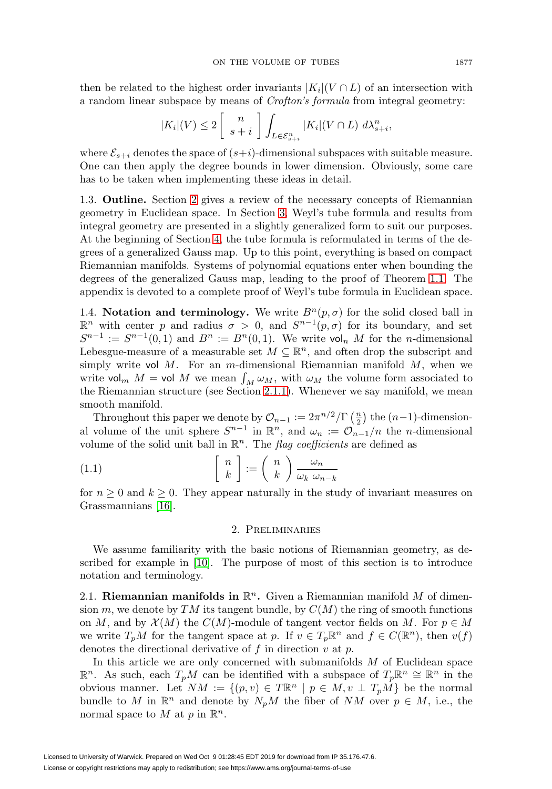then be related to the highest order invariants  $|K_i|(V \cap L)$  of an intersection with a random linear subspace by means of Crofton's formula from integral geometry:

$$
|K_i|(V) \le 2\left[\begin{array}{c}n\\s+i\end{array}\right]\int_{L\in\mathcal{E}_{s+i}^n}|K_i|(V\cap L)\;d\lambda_{s+i}^n,
$$

where  $\mathcal{E}_{s+i}$  denotes the space of  $(s+i)$ -dimensional subspaces with suitable measure. One can then apply the degree bounds in lower dimension. Obviously, some care has to be taken when implementing these ideas in detail.

1.3. **Outline.** Section [2](#page-2-0) gives a review of the necessary concepts of Riemannian geometry in Euclidean space. In Section [3,](#page-5-0) Weyl's tube formula and results from integral geometry are presented in a slightly generalized form to suit our purposes. At the beginning of Section [4,](#page-7-0) the tube formula is reformulated in terms of the degrees of a generalized Gauss map. Up to this point, everything is based on compact Riemannian manifolds. Systems of polynomial equations enter when bounding the degrees of the generalized Gauss map, leading to the proof of Theorem [1.1.](#page-0-0) The appendix is devoted to a complete proof of Weyl's tube formula in Euclidean space.

<span id="page-2-1"></span>1.4. **Notation and terminology.** We write  $B<sup>n</sup>(p, \sigma)$  for the solid closed ball in  $\mathbb{R}^n$  with center *p* and radius *σ* > 0, and *S*<sup>*n*-1</sup>(*p*,*σ*) for its boundary, and set  $S^{n-1} := S^{n-1}(0,1)$  and  $B^n := B^n(0,1)$ . We write vol<sub>n</sub> M for the n-dimensional Lebesgue-measure of a measurable set  $M \subseteq \mathbb{R}^n$ , and often drop the subscript and simply write vol  $M$ . For an m-dimensional Riemannian manifold  $M$ , when we write vol<sub>m</sub>  $M =$  vol  $M$  we mean  $\int_M \omega_M$ , with  $\omega_M$  the volume form associated to the Riemannian structure (see Section [2.1.1\)](#page-3-0). Whenever we say manifold, we mean smooth manifold.

Throughout this paper we denote by  $\mathcal{O}_{n-1} := 2\pi^{n/2} / \Gamma\left(\frac{n}{2}\right)$  the  $(n-1)$ -dimensional volume of the unit sphere  $S^{n-1}$  in  $\mathbb{R}^n$ , and  $\omega_n := \mathcal{O}_{n-1}/n$  the *n*-dimensional volume of the solid unit ball in  $\mathbb{R}^n$ . The *flag coefficients* are defined as

<span id="page-2-2"></span>(1.1) 
$$
\begin{bmatrix} n \\ k \end{bmatrix} := \begin{pmatrix} n \\ k \end{pmatrix} \frac{\omega_n}{\omega_k \omega_{n-k}}
$$

<span id="page-2-0"></span>for  $n \geq 0$  and  $k \geq 0$ . They appear naturally in the study of invariant measures on Grassmannians [\[16\]](#page-13-13).

## 2. Preliminaries

We assume familiarity with the basic notions of Riemannian geometry, as described for example in [\[10\]](#page-13-14). The purpose of most of this section is to introduce notation and terminology.

2.1. **Riemannian manifolds in**  $\mathbb{R}^n$ . Given a Riemannian manifold M of dimension m, we denote by TM its tangent bundle, by  $C(M)$  the ring of smooth functions on M, and by  $\mathcal{X}(M)$  the  $C(M)$ -module of tangent vector fields on M. For  $p \in M$ we write  $T_pM$  for the tangent space at p. If  $v \in T_p\mathbb{R}^n$  and  $f \in C(\mathbb{R}^n)$ , then  $v(f)$ denotes the directional derivative of  $f$  in direction  $v$  at  $p$ .

In this article we are only concerned with submanifolds M of Euclidean space  $\mathbb{R}^n$ . As such, each  $T_pM$  can be identified with a subspace of  $T_p\mathbb{R}^n$  ≃  $\mathbb{R}^n$  in the obvious manner. Let  $NM := \{(p, v) \in T\mathbb{R}^n \mid p \in M, v \perp T_pM\}$  be the normal bundle to M in  $\mathbb{R}^n$  and denote by  $N_pM$  the fiber of NM over  $p \in M$ , i.e., the normal space to M at p in  $\mathbb{R}^n$ .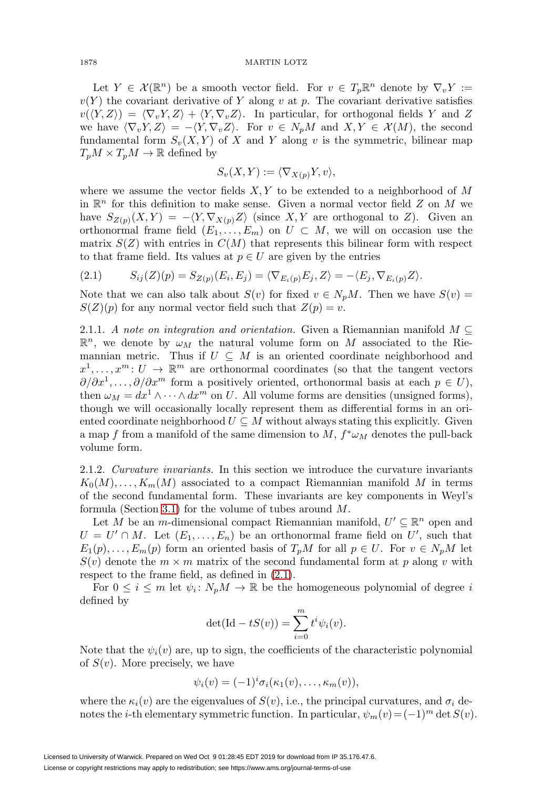Let  $Y \in \mathcal{X}(\mathbb{R}^n)$  be a smooth vector field. For  $v \in T_p\mathbb{R}^n$  denote by  $\nabla_v Y :=$  $v(Y)$  the covariant derivative of Y along v at p. The covariant derivative satisfies  $v(\langle Y,Z \rangle) = \langle \nabla_v Y, Z \rangle + \langle Y, \nabla_v Z \rangle$ . In particular, for orthogonal fields Y and Z we have  $\langle \nabla_v Y, Z \rangle = -\langle Y, \nabla_v Z \rangle$ . For  $v \in N_pM$  and  $X, Y \in \mathcal{X}(M)$ , the second fundamental form  $S_v(X, Y)$  of X and Y along v is the symmetric, bilinear map  $T_pM \times T_pM \to \mathbb{R}$  defined by

$$
S_v(X, Y) := \langle \nabla_{X(p)} Y, v \rangle,
$$

where we assume the vector fields  $X, Y$  to be extended to a neighborhood of M in  $\mathbb{R}^n$  for this definition to make sense. Given a normal vector field Z on M we have  $S_{Z(p)}(X,Y) = -\langle Y, \nabla_{X(p)}Z \rangle$  (since X, Y are orthogonal to Z). Given an orthonormal frame field  $(E_1,\ldots,E_m)$  on  $U \subset M$ , we will on occasion use the matrix  $S(Z)$  with entries in  $C(M)$  that represents this bilinear form with respect to that frame field. Its values at  $p \in U$  are given by the entries

<span id="page-3-1"></span>
$$
(2.1) \tS_{ij}(Z)(p) = S_{Z(p)}(E_i, E_j) = \langle \nabla_{E_i(p)} E_j, Z \rangle = -\langle E_j, \nabla_{E_i(p)} Z \rangle.
$$

Note that we can also talk about  $S(v)$  for fixed  $v \in N_pM$ . Then we have  $S(v)$  =  $S(Z)(p)$  for any normal vector field such that  $Z(p) = v$ .

<span id="page-3-0"></span>2.1.1. A note on integration and orientation. Given a Riemannian manifold  $M \subseteq$  $\mathbb{R}^n$ , we denote by  $\omega_M$  the natural volume form on M associated to the Riemannian metric. Thus if  $U \subseteq M$  is an oriented coordinate neighborhood and  $x^1,\ldots,x^m:U\to\mathbb{R}^m$  are orthonormal coordinates (so that the tangent vectors  $\partial/\partial x^1,\ldots,\partial/\partial x^m$  form a positively oriented, orthonormal basis at each  $p \in U$ ), then  $\omega_M = dx^1 \wedge \cdots \wedge dx^m$  on U. All volume forms are densities (unsigned forms), though we will occasionally locally represent them as differential forms in an oriented coordinate neighborhood  $U \subseteq M$  without always stating this explicitly. Given a map f from a manifold of the same dimension to  $M$ ,  $f^* \omega_M$  denotes the pull-back volume form.

<span id="page-3-2"></span>2.1.2. Curvature invariants. In this section we introduce the curvature invariants  $K_0(M),\ldots,K_m(M)$  associated to a compact Riemannian manifold M in terms of the second fundamental form. These invariants are key components in Weyl's formula (Section [3.1\)](#page-5-1) for the volume of tubes around M.

Let M be an m-dimensional compact Riemannian manifold,  $U' \subseteq \mathbb{R}^n$  open and  $U = U' \cap M$ . Let  $(E_1, \ldots, E_n)$  be an orthonormal frame field on U', such that  $E_1(p),\ldots,E_m(p)$  form an oriented basis of  $T_pM$  for all  $p \in U$ . For  $v \in N_pM$  let  $S(v)$  denote the  $m \times m$  matrix of the second fundamental form at p along v with respect to the frame field, as defined in [\(2.1\)](#page-3-1).

For  $0 \leq i \leq m$  let  $\psi_i : N_pM \to \mathbb{R}$  be the homogeneous polynomial of degree i defined by

$$
\det(\mathrm{Id} - tS(v)) = \sum_{i=0}^{m} t^i \psi_i(v).
$$

Note that the  $\psi_i(v)$  are, up to sign, the coefficients of the characteristic polynomial of  $S(v)$ . More precisely, we have

$$
\psi_i(v) = (-1)^i \sigma_i(\kappa_1(v), \dots, \kappa_m(v)),
$$

where the  $\kappa_i(v)$  are the eigenvalues of  $S(v)$ , i.e., the principal curvatures, and  $\sigma_i$  denotes the *i*-th elementary symmetric function. In particular,  $\psi_m(v)=(-1)^m \det S(v)$ .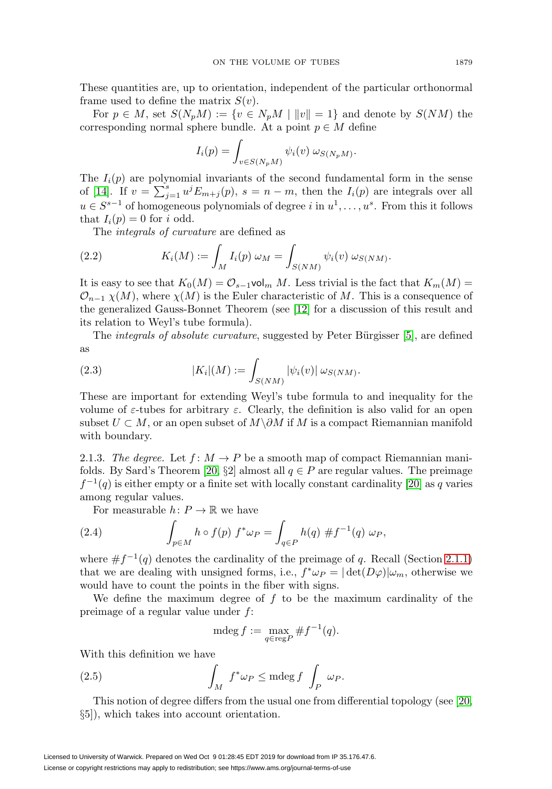These quantities are, up to orientation, independent of the particular orthonormal frame used to define the matrix  $S(v)$ .

For  $p \in M$ , set  $S(N_pM) := \{v \in N_pM \mid ||v|| = 1\}$  and denote by  $S(NM)$  the corresponding normal sphere bundle. At a point  $p \in M$  define

$$
I_i(p) = \int_{v \in S(N_pM)} \psi_i(v) \omega_{S(N_pM)}.
$$

The  $I_i(p)$  are polynomial invariants of the second fundamental form in the sense of [\[14\]](#page-13-15). If  $v = \sum_{j=1}^{s} u^{j} E_{m+j}(p)$ ,  $s = n-m$ , then the  $I_i(p)$  are integrals over all  $u \in S^{s-1}$  of homogeneous polynomials of degree i in  $u^1, \ldots, u^s$ . From this it follows that  $I_i(p) = 0$  for i odd.

The integrals of curvature are defined as

<span id="page-4-1"></span>(2.2) 
$$
K_i(M) := \int_M I_i(p) \, \omega_M = \int_{S(NM)} \psi_i(v) \, \omega_{S(NM)}.
$$

It is easy to see that  $K_0(M) = \mathcal{O}_{s-1}$ vol<sub>m</sub> M. Less trivial is the fact that  $K_m(M)$  $\mathcal{O}_{n-1}$   $\chi(M)$ , where  $\chi(M)$  is the Euler characteristic of M. This is a consequence of the generalized Gauss-Bonnet Theorem (see [\[12\]](#page-13-2) for a discussion of this result and its relation to Weyl's tube formula).

The *integrals of absolute curvature*, suggested by Peter Bürgisser [\[5\]](#page-13-1), are defined as

(2.3) 
$$
|K_i|(M) := \int_{S(NM)} |\psi_i(v)| \, \omega_{S(NM)}.
$$

These are important for extending Weyl's tube formula to and inequality for the volume of  $\varepsilon$ -tubes for arbitrary  $\varepsilon$ . Clearly, the definition is also valid for an open subset  $U \subset M$ , or an open subset of  $M\setminus \partial M$  if M is a compact Riemannian manifold with boundary.

2.1.3. The degree. Let  $f: M \to P$  be a smooth map of compact Riemannian mani-folds. By Sard's Theorem [\[20,](#page-13-16) §2] almost all  $q \in P$  are regular values. The preimage  $f^{-1}(q)$  is either empty or a finite set with locally constant cardinality [\[20\]](#page-13-16) as q varies among regular values.

For measurable  $h: P \to \mathbb{R}$  we have

<span id="page-4-2"></span>(2.4) 
$$
\int_{p \in M} h \circ f(p) f^* \omega_P = \int_{q \in P} h(q) \# f^{-1}(q) \omega_P,
$$

where  $\#f^{-1}(q)$  denotes the cardinality of the preimage of q. Recall (Section [2.1.1\)](#page-3-0) that we are dealing with unsigned forms, i.e.,  $f^*\omega_P = |\det(D\varphi)|\omega_m$ , otherwise we would have to count the points in the fiber with signs.

We define the maximum degree of  $f$  to be the maximum cardinality of the preimage of a regular value under f:

$$
\operatorname{mdeg} f := \max_{q \in \operatorname{reg} P} \# f^{-1}(q).
$$

With this definition we have

<span id="page-4-0"></span>(2.5) 
$$
\int_M f^* \omega_P \leq \mathrm{mdeg} f \int_P \omega_P.
$$

This notion of degree differs from the usual one from differential topology (see [\[20,](#page-13-16) §5]), which takes into account orientation.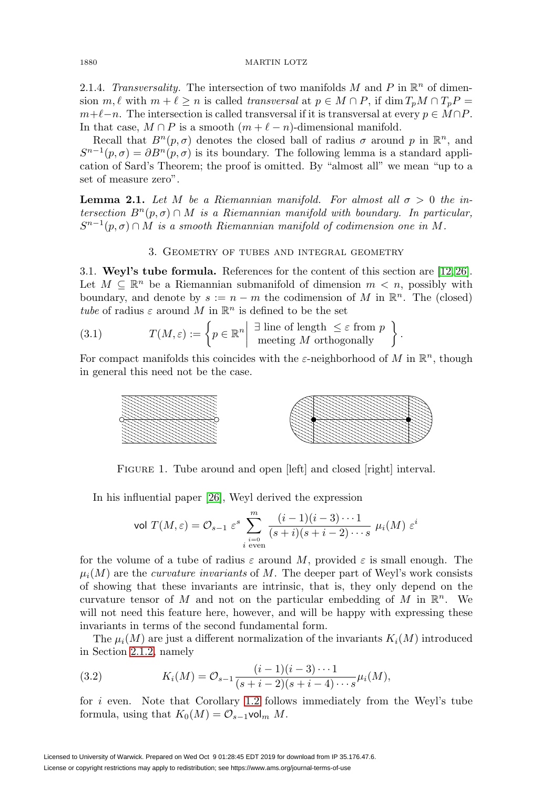2.1.4. Transversality. The intersection of two manifolds M and P in  $\mathbb{R}^n$  of dimension  $m, \ell$  with  $m + \ell \geq n$  is called transversal at  $p \in M \cap P$ , if  $\dim T_pM \cap T_pP =$  $m+\ell-n$ . The intersection is called transversal if it is transversal at every  $p \in M \cap P$ . In that case,  $M \cap P$  is a smooth  $(m + \ell - n)$ -dimensional manifold.

Recall that  $B^{n}(p,\sigma)$  denotes the closed ball of radius  $\sigma$  around p in  $\mathbb{R}^{n}$ , and  $S^{n-1}(p, \sigma) = \partial B^{n}(p, \sigma)$  is its boundary. The following lemma is a standard application of Sard's Theorem; the proof is omitted. By "almost all" we mean "up to a set of measure zero".

<span id="page-5-2"></span>**Lemma 2.1.** Let M be a Riemannian manifold. For almost all  $\sigma > 0$  the intersection  $B<sup>n</sup>(p, \sigma) \cap M$  is a Riemannian manifold with boundary. In particular,  $S^{n-1}(p, \sigma) \cap M$  is a smooth Riemannian manifold of codimension one in M.

# 3. Geometry of tubes and integral geometry

<span id="page-5-1"></span><span id="page-5-0"></span>3.1. **Weyl's tube formula.** References for the content of this section are [\[12,](#page-13-2) [26\]](#page-14-1). Let  $M \subseteq \mathbb{R}^n$  be a Riemannian submanifold of dimension  $m < n$ , possibly with boundary, and denote by  $s := n - m$  the codimension of M in  $\mathbb{R}^n$ . The (closed) tube of radius  $\varepsilon$  around M in  $\mathbb{R}^n$  is defined to be the set

(3.1) 
$$
T(M, \varepsilon) := \left\{ p \in \mathbb{R}^n \middle| \begin{array}{c} \exists \text{ line of length } \leq \varepsilon \text{ from } p \\ \text{ meeting } M \text{ orthogonally} \end{array} \right\}
$$

For compact manifolds this coincides with the  $\varepsilon$ -neighborhood of M in  $\mathbb{R}^n$ , though in general this need not be the case.

.



FIGURE 1. Tube around and open [left] and closed [right] interval.

In his influential paper [\[26\]](#page-14-1), Weyl derived the expression

$$
\text{vol } T(M, \varepsilon) = \mathcal{O}_{s-1} \varepsilon^s \sum_{\substack{i=0 \ i \text{ even}}}^m \frac{(i-1)(i-3)\cdots 1}{(s+i)(s+i-2)\cdots s} \mu_i(M) \varepsilon^i
$$

for the volume of a tube of radius  $\varepsilon$  around M, provided  $\varepsilon$  is small enough. The  $\mu_i(M)$  are the *curvature invariants* of M. The deeper part of Weyl's work consists of showing that these invariants are intrinsic, that is, they only depend on the curvature tensor of M and not on the particular embedding of M in  $\mathbb{R}^n$ . We will not need this feature here, however, and will be happy with expressing these invariants in terms of the second fundamental form.

The  $\mu_i(M)$  are just a different normalization of the invariants  $K_i(M)$  introduced in Section [2.1.2,](#page-3-2) namely

(3.2) 
$$
K_i(M) = \mathcal{O}_{s-1} \frac{(i-1)(i-3)\cdots 1}{(s+i-2)(s+i-4)\cdots s} \mu_i(M),
$$

for i even. Note that Corollary [1.2](#page-1-0) follows immediately from the Weyl's tube formula, using that  $K_0(M) = \mathcal{O}_{s-1}$ vol<sub>m</sub> M.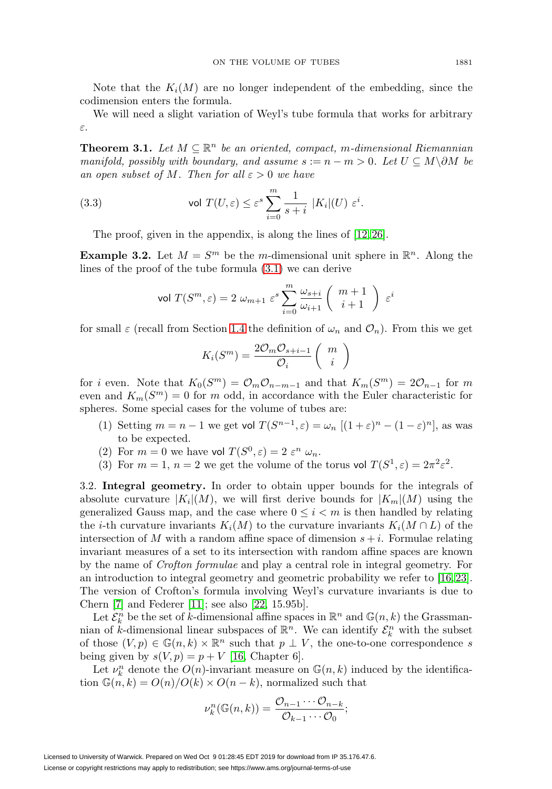Note that the  $K_i(M)$  are no longer independent of the embedding, since the codimension enters the formula.

We will need a slight variation of Weyl's tube formula that works for arbitrary ε.

<span id="page-6-0"></span>**Theorem 3.1.** Let  $M \subseteq \mathbb{R}^n$  be an oriented, compact, m-dimensional Riemannian manifold, possibly with boundary, and assume  $s := n - m > 0$ . Let  $U \subseteq M \backslash \partial M$  be an open subset of M. Then for all  $\varepsilon > 0$  we have

<span id="page-6-1"></span>(3.3) vol 
$$
T(U, \varepsilon) \le \varepsilon^s \sum_{i=0}^m \frac{1}{s+i} |K_i|(U) \varepsilon^i
$$
.

The proof, given in the appendix, is along the lines of [\[12,](#page-13-2) [26\]](#page-14-1).

**Example 3.2.** Let  $M = S^m$  be the m-dimensional unit sphere in  $\mathbb{R}^n$ . Along the lines of the proof of the tube formula [\(3.1\)](#page-6-0) we can derive

$$
\text{vol }T(S^m,\varepsilon)=2\;\omega_{m+1}\;\varepsilon^s\sum_{i=0}^m \frac{\omega_{s+i}}{\omega_{i+1}}\left(\begin{array}{c}m+1\\i+1\end{array}\right)\;\varepsilon^i
$$

for small  $\varepsilon$  (recall from Section [1.4](#page-2-1) the definition of  $\omega_n$  and  $\mathcal{O}_n$ ). From this we get

$$
K_i(S^m) = \frac{2\mathcal{O}_m \mathcal{O}_{s+i-1}}{\mathcal{O}_i} \left( \begin{array}{c} m \\ i \end{array} \right)
$$

for i even. Note that  $K_0(S^m) = \mathcal{O}_m \mathcal{O}_{n-m-1}$  and that  $K_m(S^m) = 2\mathcal{O}_{n-1}$  for m even and  $K_m(S^m) = 0$  for m odd, in accordance with the Euler characteristic for spheres. Some special cases for the volume of tubes are:

- (1) Setting  $m = n 1$  we get vol  $T(S^{n-1}, \varepsilon) = \omega_n [(1 + \varepsilon)^n (1 \varepsilon)^n]$ , as was to be expected.
- (2) For  $m = 0$  we have vol  $T(S^0, \varepsilon) = 2 \varepsilon^n \omega_n$ .
- (3) For  $m = 1$ ,  $n = 2$  we get the volume of the torus vol  $T(S^1, \varepsilon) = 2\pi^2 \varepsilon^2$ .

3.2. **Integral geometry.** In order to obtain upper bounds for the integrals of absolute curvature  $|K_i|(M)$ , we will first derive bounds for  $|K_m|(M)$  using the generalized Gauss map, and the case where  $0 \leq i \leq m$  is then handled by relating the *i*-th curvature invariants  $K_i(M)$  to the curvature invariants  $K_i(M \cap L)$  of the intersection of M with a random affine space of dimension  $s + i$ . Formulae relating invariant measures of a set to its intersection with random affine spaces are known by the name of Crofton formulae and play a central role in integral geometry. For an introduction to integral geometry and geometric probability we refer to [\[16,](#page-13-13) [23\]](#page-14-4). The version of Crofton's formula involving Weyl's curvature invariants is due to Chern [\[7\]](#page-13-17) and Federer [\[11\]](#page-13-18); see also [\[22,](#page-13-19) 15.95b].

Let  $\mathcal{E}_k^n$  be the set of k-dimensional affine spaces in  $\mathbb{R}^n$  and  $\mathbb{G}(n,k)$  the Grassmannian of k-dimensional linear subspaces of  $\mathbb{R}^n$ . We can identify  $\mathcal{E}_k^n$  with the subset of those  $(V, p) \in \mathbb{G}(n, k) \times \mathbb{R}^n$  such that  $p \perp V$ , the one-to-one correspondence s being given by  $s(V, p) = p + V$  [\[16,](#page-13-13) Chapter 6].

Let  $\nu_k^n$  denote the  $O(n)$ -invariant measure on  $\mathbb{G}(n,k)$  induced by the identification  $\mathbb{G}(n, k) = O(n)/O(k) \times O(n-k)$ , normalized such that

$$
\nu_k^n(\mathbb{G}(n,k)) = \frac{\mathcal{O}_{n-1}\cdots\mathcal{O}_{n-k}}{\mathcal{O}_{k-1}\cdots\mathcal{O}_0};
$$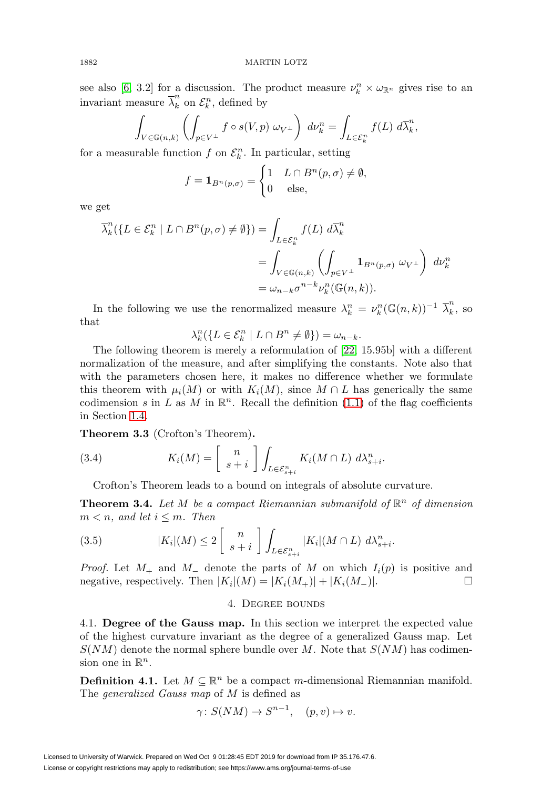see also [\[6,](#page-13-20) 3.2] for a discussion. The product measure  $\nu_k^n \times \omega_{\mathbb{R}^n}$  gives rise to an invariant measure  $\overline{\lambda}_k^n$  on  $\mathcal{E}_k^n$ , defined by

$$
\int_{V \in \mathbb{G}(n,k)} \left( \int_{p \in V^{\perp}} f \circ s(V,p) \, \omega_{V^{\perp}} \right) \, d\nu_k^n = \int_{L \in \mathcal{E}_k^n} f(L) \, d\overline{\lambda}_k^n,
$$

for a measurable function  $f$  on  $\mathcal{E}_k^n$ . In particular, setting

$$
f = \mathbf{1}_{B^n(p,\sigma)} = \begin{cases} 1 & L \cap B^n(p,\sigma) \neq \emptyset, \\ 0 & \text{else,} \end{cases}
$$

we get

$$
\overline{\lambda}_k^n(\lbrace L \in \mathcal{E}_k^n \mid L \cap B^n(p, \sigma) \neq \emptyset \rbrace) = \int_{L \in \mathcal{E}_k^n} f(L) d\overline{\lambda}_k^n
$$
  
= 
$$
\int_{V \in \mathbb{G}(n,k)} \left( \int_{p \in V^{\perp}} \mathbf{1}_{B^n(p, \sigma)} \omega_{V^{\perp}} \right) d\nu_k^n
$$
  
= 
$$
\omega_{n-k} \sigma^{n-k} \nu_k^n(\mathbb{G}(n,k)).
$$

In the following we use the renormalized measure  $\lambda_k^n = \nu_k^n (\mathbb{G}(n,k))^{-1} \overline{\lambda}_k^n$ , so that

$$
\lambda_k^n(\{L\in\mathcal{E}_k^n\mid L\cap B^n\neq\emptyset\})=\omega_{n-k}.
$$

The following theorem is merely a reformulation of [\[22,](#page-13-19) 15.95b] with a different normalization of the measure, and after simplifying the constants. Note also that with the parameters chosen here, it makes no difference whether we formulate this theorem with  $\mu_i(M)$  or with  $K_i(M)$ , since  $M \cap L$  has generically the same codimension s in L as M in  $\mathbb{R}^n$ . Recall the definition [\(1.1\)](#page-2-2) of the flag coefficients in Section [1.4.](#page-2-1)

**Theorem 3.3** (Crofton's Theorem)**.**

(3.4) 
$$
K_i(M) = \begin{bmatrix} n \\ s+i \end{bmatrix} \int_{L \in \mathcal{E}_{s+i}^n} K_i(M \cap L) d\lambda_{s+i}^n.
$$

Crofton's Theorem leads to a bound on integrals of absolute curvature.

**Theorem 3.4.** Let M be a compact Riemannian submanifold of  $\mathbb{R}^n$  of dimension  $m < n$ , and let  $i \leq m$ . Then

<span id="page-7-1"></span>(3.5) 
$$
|K_i|(M) \le 2\left[\begin{array}{c}n\\s+i\end{array}\right]\int_{L\in\mathcal{E}_{s+i}^n}|K_i|(M\cap L)\;d\lambda_{s+i}^n.
$$

<span id="page-7-0"></span>*Proof.* Let  $M_+$  and  $M_-$  denote the parts of M on which  $I_i(p)$  is positive and negative, respectively. Then  $|K_i|(M) = |K_i(M_+)| + |K_i(M_-)|$ .  $\Box$ 

## 4. Degree bounds

4.1. **Degree of the Gauss map.** In this section we interpret the expected value of the highest curvature invariant as the degree of a generalized Gauss map. Let  $S(NM)$  denote the normal sphere bundle over M. Note that  $S(NM)$  has codimension one in  $\mathbb{R}^n$ .

**Definition 4.1.** Let  $M \subseteq \mathbb{R}^n$  be a compact m-dimensional Riemannian manifold. The generalized Gauss map of M is defined as

$$
\gamma \colon S(NM) \to S^{n-1}, \quad (p, v) \mapsto v.
$$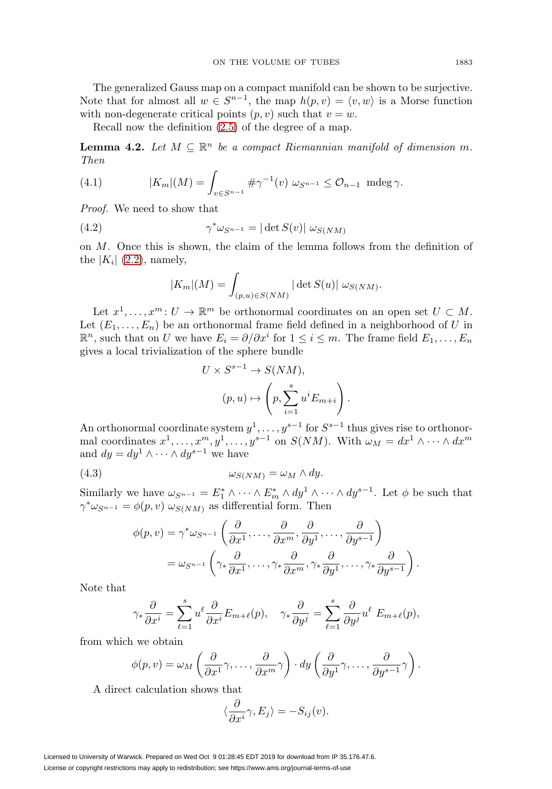The generalized Gauss map on a compact manifold can be shown to be surjective. Note that for almost all  $w \in S^{n-1}$ , the map  $h(p, v) = \langle v, w \rangle$  is a Morse function with non-degenerate critical points  $(p, v)$  such that  $v = w$ .

Recall now the definition [\(2.5\)](#page-4-0) of the degree of a map.

<span id="page-8-0"></span>**Lemma 4.2.** Let  $M \subseteq \mathbb{R}^n$  be a compact Riemannian manifold of dimension m. Then

(4.1) 
$$
|K_m|(M) = \int_{v \in S^{n-1}} \# \gamma^{-1}(v) \ \omega_{S^{n-1}} \leq \mathcal{O}_{n-1} \ \mathrm{mdeg} \ \gamma.
$$

Proof. We need to show that

(4.2) 
$$
\gamma^* \omega_{S^{n-1}} = |\det S(v)| \omega_{S(NM)}
$$

on  $M$ . Once this is shown, the claim of the lemma follows from the definition of the  $|K_i|$  [\(2.2\)](#page-4-1), namely,

$$
|K_m|(M) = \int_{(p,u)\in S(NM)} |\det S(u)| \omega_{S(NM)}.
$$

Let  $x^1, \ldots, x^m : U \to \mathbb{R}^m$  be orthonormal coordinates on an open set  $U \subset M$ . Let  $(E_1,\ldots,E_n)$  be an orthonormal frame field defined in a neighborhood of U in  $\mathbb{R}^n$ , such that on U we have  $E_i = \partial/\partial x^i$  for  $1 \leq i \leq m$ . The frame field  $E_1, \ldots, E_n$ gives a local trivialization of the sphere bundle

$$
U \times S^{s-1} \to S(NM),
$$
  
\n
$$
(p, u) \mapsto \left(p, \sum_{i=1}^{s} u^{i} E_{m+i}\right).
$$

An orthonormal coordinate system  $y^1, \ldots, y^{s-1}$  for  $S^{s-1}$  thus gives rise to orthonormal coordinates  $x^1, \ldots, x^m, y^1, \ldots, y^{s-1}$  on  $S(NM)$ . With  $\omega_M = dx^1 \wedge \cdots \wedge dx^m$ and  $dy = dy^1 \wedge \cdots \wedge dy^{s-1}$  we have

$$
\omega_{S(NM)} = \omega_M \wedge dy.
$$

Similarly we have  $\omega_{S^{n-1}} = E_1^* \wedge \cdots \wedge E_m^* \wedge dy^1 \wedge \cdots \wedge dy^{s-1}$ . Let  $\phi$  be such that  $\gamma^* \omega_{S^{n-1}} = \phi(p, v) \omega_{S(NM)}$  as differential form. Then

$$
\phi(p,v) = \gamma^* \omega_{S^{n-1}} \left( \frac{\partial}{\partial x^1}, \dots, \frac{\partial}{\partial x^m}, \frac{\partial}{\partial y^1}, \dots, \frac{\partial}{\partial y^{s-1}} \right)
$$
  
=  $\omega_{S^{n-1}} \left( \gamma_* \frac{\partial}{\partial x^1}, \dots, \gamma_* \frac{\partial}{\partial x^m}, \gamma_* \frac{\partial}{\partial y^1}, \dots, \gamma_* \frac{\partial}{\partial y^{s-1}} \right).$ 

Note that

$$
\gamma_* \frac{\partial}{\partial x^i} = \sum_{\ell=1}^s u^\ell \frac{\partial}{\partial x^i} E_{m+\ell}(p), \quad \gamma_* \frac{\partial}{\partial y^j} = \sum_{\ell=1}^s \frac{\partial}{\partial y^j} u^\ell E_{m+\ell}(p),
$$

from which we obtain

$$
\phi(p,v) = \omega_M\left(\frac{\partial}{\partial x^1}\gamma,\ldots,\frac{\partial}{\partial x^m}\gamma\right)\cdot dy\left(\frac{\partial}{\partial y^1}\gamma,\ldots,\frac{\partial}{\partial y^{s-1}}\gamma\right).
$$

A direct calculation shows that

$$
\langle \frac{\partial}{\partial x^i} \gamma, E_j \rangle = -S_{ij}(v).
$$

Licensed to University of Warwick. Prepared on Wed Oct 9 01:28:45 EDT 2019 for download from IP 35.176.47.6. License or copyright restrictions may apply to redistribution; see https://www.ams.org/journal-terms-of-use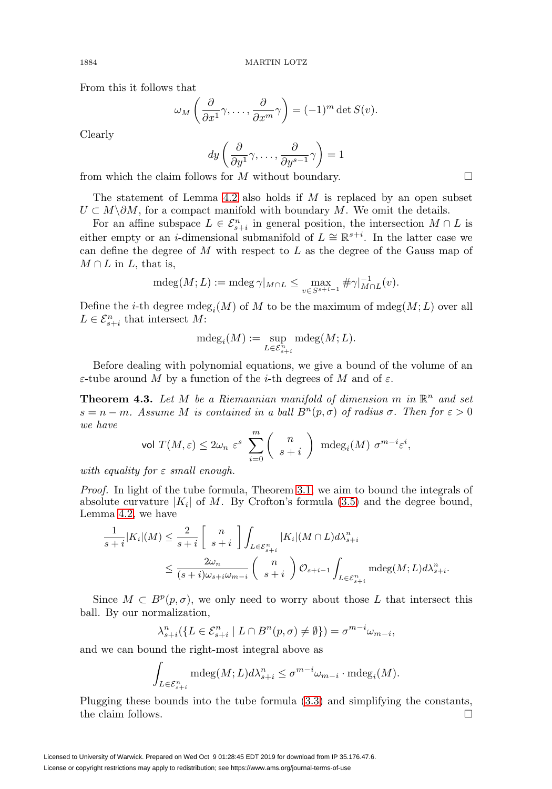From this it follows that

$$
\omega_M\left(\frac{\partial}{\partial x^1}\gamma,\ldots,\frac{\partial}{\partial x^m}\gamma\right) = (-1)^m \det S(v).
$$

Clearly

$$
dy\left(\frac{\partial}{\partial y^1}\gamma,\ldots,\frac{\partial}{\partial y^{s-1}}\gamma\right)=1
$$

from which the claim follows for M without boundary.  $\Box$ 

The statement of Lemma [4.2](#page-8-0) also holds if  $M$  is replaced by an open subset  $U \subset M \backslash \partial M$ , for a compact manifold with boundary M. We omit the details.

For an affine subspace  $L \in \mathcal{E}_{s+i}^n$  in general position, the intersection  $M \cap L$  is either empty or an *i*-dimensional submanifold of  $L \cong \mathbb{R}^{s+i}$ . In the latter case we can define the degree of  $M$  with respect to  $L$  as the degree of the Gauss map of  $M \cap L$  in  $L$ , that is,

$$
\operatorname{mdeg}(M;L) := \operatorname{mdeg}\gamma|_{M \cap L} \le \max_{v \in S^{s+i-1}} \#\gamma|_{M \cap L}^{-1}(v).
$$

Define the *i*-th degree mdeg<sub>i</sub>(M) of M to be the maximum of mdeg(M; L) over all  $L \in \mathcal{E}_{s+i}^n$  that intersect M:

$$
\operatorname{mdeg}_i(M):=\sup_{L\in\mathcal{E}^n_{s+i}}\operatorname{mdeg}(M;L).
$$

Before dealing with polynomial equations, we give a bound of the volume of an ε-tube around M by a function of the *i*-th degrees of M and of ε.

<span id="page-9-0"></span>**Theorem 4.3.** Let M be a Riemannian manifold of dimension m in  $\mathbb{R}^n$  and set  $s = n - m$ . Assume M is contained in a ball  $B<sup>n</sup>(p, \sigma)$  of radius  $\sigma$ . Then for  $\varepsilon > 0$ we have

$$
\text{vol }T(M,\varepsilon)\leq 2\omega_n\,\,\varepsilon^s\,\,\sum_{i=0}^m\left(\begin{array}{c}n\\ s+i\end{array}\right)\,\,\text{mdeg}_i(M)\,\,\sigma^{m-i}\varepsilon^i,
$$

with equality for  $\varepsilon$  small enough.

Proof. In light of the tube formula, Theorem [3.1,](#page-6-0) we aim to bound the integrals of absolute curvature  $|K_i|$  of M. By Crofton's formula [\(3.5\)](#page-7-1) and the degree bound, Lemma [4.2,](#page-8-0) we have

$$
\frac{1}{s+i}|K_i|(M) \leq \frac{2}{s+i} \left[ \begin{array}{c} n \\ s+i \end{array} \right] \int_{L \in \mathcal{E}_{s+i}^n} |K_i|(M \cap L) d\lambda_{s+i}^n
$$
  

$$
\leq \frac{2\omega_n}{(s+i)\omega_{s+i}\omega_{m-i}} \left( \begin{array}{c} n \\ s+i \end{array} \right) \mathcal{O}_{s+i-1} \int_{L \in \mathcal{E}_{s+i}^n} \text{mdeg}(M;L) d\lambda_{s+i}^n.
$$

Since  $M \subset B^p(p,\sigma)$ , we only need to worry about those L that intersect this ball. By our normalization,

$$
\lambda_{s+i}^n(\{L \in \mathcal{E}_{s+i}^n \mid L \cap B^n(p, \sigma) \neq \emptyset\}) = \sigma^{m-i} \omega_{m-i},
$$

and we can bound the right-most integral above as

$$
\int_{L \in \mathcal{E}_{s+i}^n} \mathrm{mdeg}(M; L) d\lambda_{s+i}^n \le \sigma^{m-i} \omega_{m-i} \cdot \mathrm{mdeg}_i(M).
$$

Plugging these bounds into the tube formula [\(3.3\)](#page-6-1) and simplifying the constants, the claim follows.  $\Box$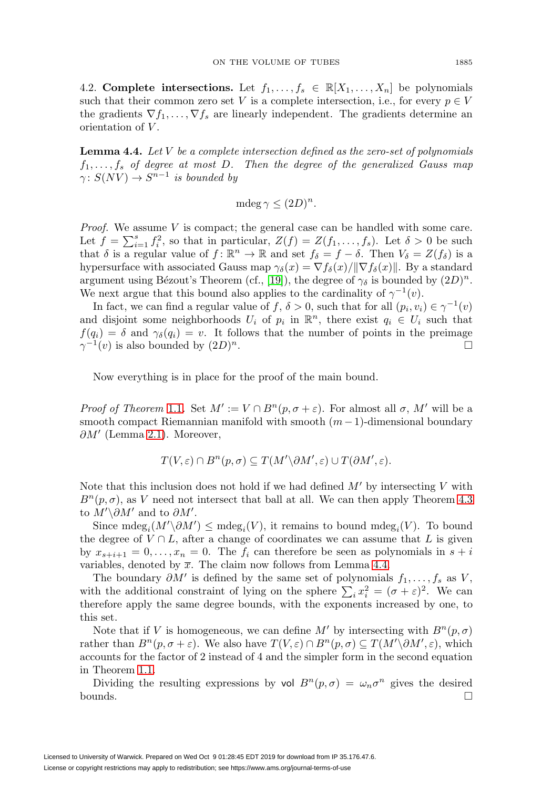4.2. **Complete intersections.** Let  $f_1, \ldots, f_s \in \mathbb{R}[X_1, \ldots, X_n]$  be polynomials such that their common zero set V is a complete intersection, i.e., for every  $p \in V$ the gradients  $\nabla f_1,\ldots,\nabla f_s$  are linearly independent. The gradients determine an orientation of V .

<span id="page-10-0"></span>**Lemma 4.4.** Let V be a complete intersection defined as the zero-set of polynomials  $f_1,\ldots,f_s$  of degree at most D. Then the degree of the generalized Gauss map  $\gamma: S(NV) \to S^{n-1}$  is bounded by

$$
\operatorname{mdeg}\gamma \le (2D)^n.
$$

*Proof.* We assume  $V$  is compact; the general case can be handled with some care. Let  $f = \sum_{i=1}^{s} f_i^2$ , so that in particular,  $Z(f) = Z(f_1, \ldots, f_s)$ . Let  $\delta > 0$  be such that  $\delta$  is a regular value of  $f: \mathbb{R}^n \to \mathbb{R}$  and set  $f_{\delta} = f - \delta$ . Then  $V_{\delta} = Z(f_{\delta})$  is a hypersurface with associated Gauss map  $\gamma_{\delta}(x) = \nabla f_{\delta}(x)/\|\nabla f_{\delta}(x)\|$ . By a standard argument using Bézout's Theorem (cf., [\[19\]](#page-13-21)), the degree of  $\gamma_{\delta}$  is bounded by  $(2D)^n$ . We next argue that this bound also applies to the cardinality of  $\gamma^{-1}(v)$ .

In fact, we can find a regular value of f,  $\delta > 0$ , such that for all  $(p_i, v_i) \in \gamma^{-1}(v)$ and disjoint some neighborhoods  $U_i$  of  $p_i$  in  $\mathbb{R}^n$ , there exist  $q_i \in U_i$  such that  $f(q_i) = \delta$  and  $\gamma_{\delta}(q_i) = v$ . It follows that the number of points in the preimage  $\gamma^{-1}(v)$  is also bounded by  $(2D)^n$ .

Now everything is in place for the proof of the main bound.

*Proof of Theorem [1.1](#page-0-0).* Set  $M' := V \cap B^{n}(p, \sigma + \varepsilon)$ . For almost all  $\sigma$ , M' will be a smooth compact Riemannian manifold with smooth  $(m-1)$ -dimensional boundary  $\partial M'$  (Lemma [2.1\)](#page-5-2). Moreover,

$$
T(V,\varepsilon) \cap B^n(p,\sigma) \subseteq T(M' \backslash \partial M',\varepsilon) \cup T(\partial M',\varepsilon).
$$

Note that this inclusion does not hold if we had defined  $M'$  by intersecting V with  $B<sup>n</sup>(p, \sigma)$ , as V need not intersect that ball at all. We can then apply Theorem [4.3](#page-9-0) to  $M' \backslash \partial M'$  and to  $\partial M'$ .

Since  $\mathrm{mdeg}_i(M' \setminus \partial M') \leq \mathrm{mdeg}_i(V)$ , it remains to bound  $\mathrm{mdeg}_i(V)$ . To bound the degree of  $V \cap L$ , after a change of coordinates we can assume that L is given by  $x_{s+i+1} = 0, \ldots, x_n = 0$ . The  $f_i$  can therefore be seen as polynomials in  $s + i$ variables, denoted by  $\overline{x}$ . The claim now follows from Lemma [4.4.](#page-10-0)

The boundary  $\partial M'$  is defined by the same set of polynomials  $f_1,\ldots,f_s$  as V, with the additional constraint of lying on the sphere  $\sum_i x_i^2 = (\sigma + \varepsilon)^2$ . We can therefore apply the same degree bounds, with the exponents increased by one, to this set.

Note that if V is homogeneous, we can define M' by intersecting with  $B<sup>n</sup>(p, \sigma)$ rather than  $B^{n}(p, \sigma + \varepsilon)$ . We also have  $T(V, \varepsilon) \cap B^{n}(p, \sigma) \subseteq T(M' \setminus \partial M', \varepsilon)$ , which accounts for the factor of 2 instead of 4 and the simpler form in the second equation in Theorem [1.1.](#page-0-0)

Dividing the resulting expressions by vol  $B^{n}(p, \sigma) = \omega_n \sigma^n$  gives the desired bounds.  $\Box$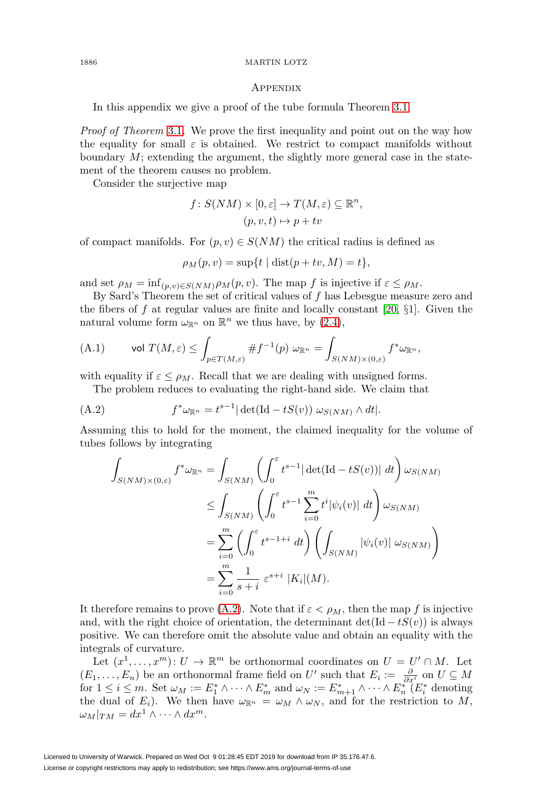### 1886 MARTIN LOTZ

## **APPENDIX**

In this appendix we give a proof of the tube formula Theorem [3.1.](#page-6-0)

Proof of Theorem [3.1](#page-6-0). We prove the first inequality and point out on the way how the equality for small  $\varepsilon$  is obtained. We restrict to compact manifolds without boundary  $M$ ; extending the argument, the slightly more general case in the statement of the theorem causes no problem.

Consider the surjective map

$$
f: S(NM) \times [0, \varepsilon] \to T(M, \varepsilon) \subseteq \mathbb{R}^n,
$$
  

$$
(p, v, t) \mapsto p + tv
$$

of compact manifolds. For  $(p, v) \in S(NM)$  the critical radius is defined as

$$
\rho_M(p, v) = \sup\{t \mid \text{dist}(p + tv, M) = t\},\
$$

and set  $\rho_M = \inf_{(p,v)\in S(NM)} \rho_M(p,v)$ . The map f is injective if  $\varepsilon \leq \rho_M$ .

By Sard's Theorem the set of critical values of f has Lebesgue measure zero and the fibers of f at regular values are finite and locally constant [\[20,](#page-13-16)  $\S$ 1]. Given the natural volume form  $\omega_{\mathbb{R}^n}$  on  $\mathbb{R}^n$  we thus have, by [\(2.4\)](#page-4-2),

(A.1) vol 
$$
T(M, \varepsilon) \le \int_{p \in T(M, \varepsilon)} \# f^{-1}(p) \omega_{\mathbb{R}^n} = \int_{S(NM) \times (0, \varepsilon)} f^* \omega_{\mathbb{R}^n},
$$

with equality if  $\varepsilon \leq \rho_M$ . Recall that we are dealing with unsigned forms.

The problem reduces to evaluating the right-hand side. We claim that

<span id="page-11-0"></span>(A.2) 
$$
f^*\omega_{\mathbb{R}^n} = t^{s-1} |\det(\mathrm{Id} - tS(v)) \omega_{S(NM)} \wedge dt|.
$$

Assuming this to hold for the moment, the claimed inequality for the volume of tubes follows by integrating

$$
\int_{S(NM)\times(0,\varepsilon)} f^* \omega_{\mathbb{R}^n} = \int_{S(NM)} \left( \int_0^{\varepsilon} t^{s-1} |\det(\mathrm{Id} - tS(v))| dt \right) \omega_{S(NM)}
$$
\n
$$
\leq \int_{S(NM)} \left( \int_0^{\varepsilon} t^{s-1} \sum_{i=0}^m t^i |\psi_i(v)| dt \right) \omega_{S(NM)}
$$
\n
$$
= \sum_{i=0}^m \left( \int_0^{\varepsilon} t^{s-1+i} dt \right) \left( \int_{S(NM)} |\psi_i(v)| \omega_{S(NM)} \right)
$$
\n
$$
= \sum_{i=0}^m \frac{1}{s+i} \varepsilon^{s+i} |K_i|(M).
$$

It therefore remains to prove [\(A.2\)](#page-11-0). Note that if  $\varepsilon < \rho_M$ , then the map f is injective and, with the right choice of orientation, the determinant det(Id  $-tS(v)$ ) is always positive. We can therefore omit the absolute value and obtain an equality with the integrals of curvature.

Let  $(x^1,\ldots,x^m): U \to \mathbb{R}^m$  be orthonormal coordinates on  $U = U' \cap M$ . Let  $(E_1,\ldots,E_n)$  be an orthonormal frame field on U' such that  $E_i := \frac{\partial}{\partial x^i}$  on  $U \subseteq M$ for  $1 \leq i \leq m$ . Set  $\omega_M := E_1^* \wedge \cdots \wedge E_m^*$  and  $\omega_N := E_{m+1}^* \wedge \cdots \wedge E_n^*$  ( $E_i^*$  denoting the dual of  $E_i$ ). We then have  $\omega_{\mathbb{R}^n} = \omega_M \wedge \omega_N$ , and for the restriction to M,  $\omega_M|_{TM} = dx^1 \wedge \cdots \wedge dx^m.$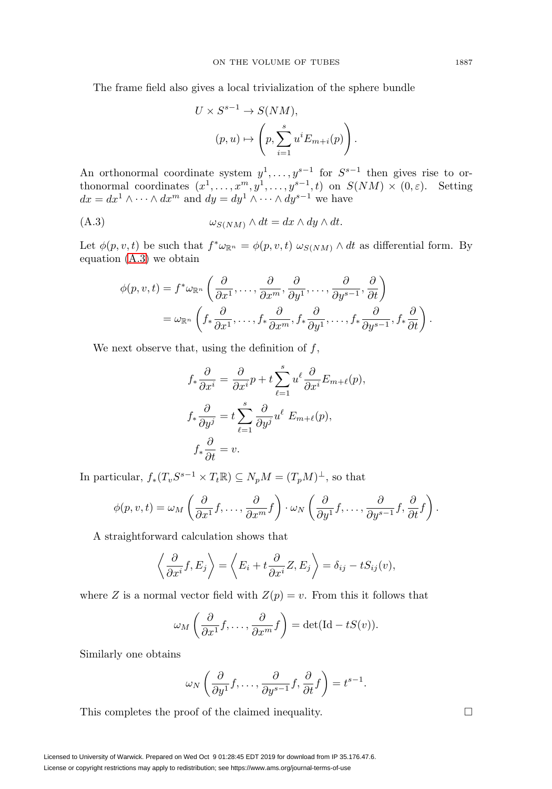The frame field also gives a local trivialization of the sphere bundle

$$
U \times S^{s-1} \to S(NM),
$$
  
\n
$$
(p, u) \mapsto \left(p, \sum_{i=1}^{s} u^{i} E_{m+i}(p)\right).
$$

An orthonormal coordinate system  $y^1, \ldots, y^{s-1}$  for  $S^{s-1}$  then gives rise to orthonormal coordinates  $(x^1, \ldots, x^m, y^1, \ldots, y^{s-1}, t)$  on  $S(NM) \times (0, \varepsilon)$ . Setting  $dx = dx^1 \wedge \cdots \wedge dx^m$  and  $dy = dy^1 \wedge \cdots \wedge dy^{s-1}$  we have

<span id="page-12-0"></span>
$$
(A.3) \t\t\t \t\t \omega_{S(NM)} \wedge dt = dx \wedge dy \wedge dt.
$$

Let  $\phi(p, v, t)$  be such that  $f^* \omega_{\mathbb{R}^n} = \phi(p, v, t) \omega_{S(NM)} \wedge dt$  as differential form. By equation [\(A.3\)](#page-12-0) we obtain

$$
\phi(p, v, t) = f^* \omega_{\mathbb{R}^n} \left( \frac{\partial}{\partial x^1}, \dots, \frac{\partial}{\partial x^m}, \frac{\partial}{\partial y^1}, \dots, \frac{\partial}{\partial y^{s-1}}, \frac{\partial}{\partial t} \right)
$$
  
=  $\omega_{\mathbb{R}^n} \left( f_* \frac{\partial}{\partial x^1}, \dots, f_* \frac{\partial}{\partial x^m}, f_* \frac{\partial}{\partial y^1}, \dots, f_* \frac{\partial}{\partial y^{s-1}}, f_* \frac{\partial}{\partial t} \right).$ 

We next observe that, using the definition of  $f$ ,

$$
f_*\frac{\partial}{\partial x^i} = \frac{\partial}{\partial x^i}p + t\sum_{\ell=1}^s u^{\ell}\frac{\partial}{\partial x^i}E_{m+\ell}(p),
$$
  

$$
f_*\frac{\partial}{\partial y^j} = t\sum_{\ell=1}^s \frac{\partial}{\partial y^j}u^{\ell} E_{m+\ell}(p),
$$
  

$$
f_*\frac{\partial}{\partial t} = v.
$$

In particular,  $f_*(T_vS^{s-1} \times T_t\mathbb{R}) \subseteq N_pM = (T_pM)^{\perp}$ , so that

$$
\phi(p, v, t) = \omega_M \left( \frac{\partial}{\partial x^1} f, \dots, \frac{\partial}{\partial x^m} f \right) \cdot \omega_N \left( \frac{\partial}{\partial y^1} f, \dots, \frac{\partial}{\partial y^{s-1}} f, \frac{\partial}{\partial t} f \right).
$$

A straightforward calculation shows that

$$
\left\langle \frac{\partial}{\partial x^i} f, E_j \right\rangle = \left\langle E_i + t \frac{\partial}{\partial x^i} Z, E_j \right\rangle = \delta_{ij} - t S_{ij}(v),
$$

where Z is a normal vector field with  $Z(p) = v$ . From this it follows that

$$
\omega_M\left(\frac{\partial}{\partial x^1}f,\ldots,\frac{\partial}{\partial x^m}f\right)=\det(\mathrm{Id}-tS(v)).
$$

Similarly one obtains

$$
\omega_N\left(\frac{\partial}{\partial y^1}f,\ldots,\frac{\partial}{\partial y^{s-1}}f,\frac{\partial}{\partial t}f\right)=t^{s-1}.
$$

This completes the proof of the claimed inequality.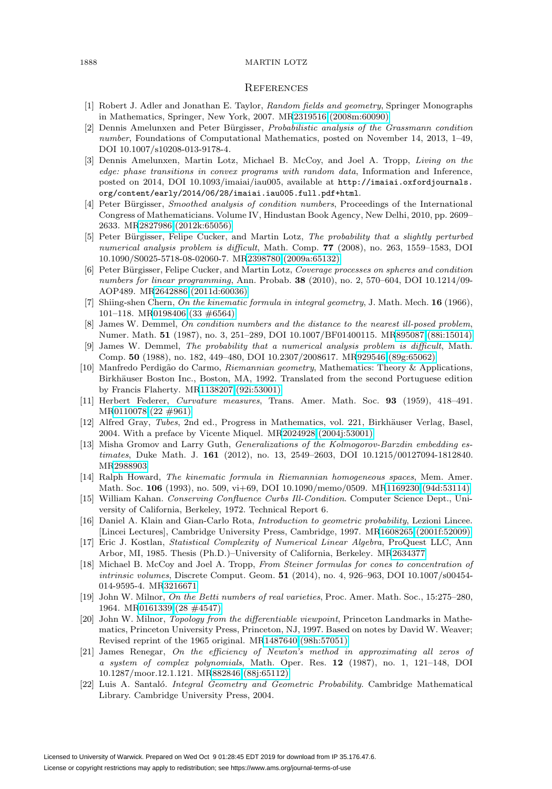#### 1888 MARTIN LOTZ

#### **REFERENCES**

- <span id="page-13-9"></span>[1] Robert J. Adler and Jonathan E. Taylor, Random fields and geometry, Springer Monographs in Mathematics, Springer, New York, 2007. M[R2319516 \(2008m:60090\)](http://www.ams.org/mathscinet-getitem?mr=2319516)
- <span id="page-13-10"></span>[2] Dennis Amelunxen and Peter Bürgisser, *Probabilistic analysis of the Grassmann condition* number, Foundations of Computational Mathematics, posted on November 14, 2013, 1–49, DOI 10.1007/s10208-013-9178-4.
- <span id="page-13-11"></span>[3] Dennis Amelunxen, Martin Lotz, Michael B. McCoy, and Joel A. Tropp, Living on the edge: phase transitions in convex programs with random data, Information and Inference, posted on 2014, DOI 10.1093/imaiai/iau005, available at [http://imaiai.oxfordjournals.](http://imaiai.oxfordjournals.org/content/early/2014/06/28/imaiai.iau005.full.pdf+html) [org/content/early/2014/06/28/imaiai.iau005.full.pdf+html](http://imaiai.oxfordjournals.org/content/early/2014/06/28/imaiai.iau005.full.pdf+html).
- <span id="page-13-7"></span>[4] Peter Bürgisser, Smoothed analysis of condition numbers, Proceedings of the International Congress of Mathematicians. Volume IV, Hindustan Book Agency, New Delhi, 2010, pp. 2609– 2633. M[R2827986 \(2012k:65056\)](http://www.ams.org/mathscinet-getitem?mr=2827986)
- <span id="page-13-1"></span>[5] Peter Bürgisser, Felipe Cucker, and Martin Lotz, The probability that a slightly perturbed numerical analysis problem is difficult, Math. Comp. **77** (2008), no. 263, 1559–1583, DOI 10.1090/S0025-5718-08-02060-7. M[R2398780 \(2009a:65132\)](http://www.ams.org/mathscinet-getitem?mr=2398780)
- <span id="page-13-20"></span>[6] Peter Bürgisser, Felipe Cucker, and Martin Lotz, Coverage processes on spheres and condition numbers for linear programming, Ann. Probab. **38** (2010), no. 2, 570–604, DOI 10.1214/09- AOP489. M[R2642886 \(2011d:60036\)](http://www.ams.org/mathscinet-getitem?mr=2642886)
- <span id="page-13-17"></span>[7] Shiing-shen Chern, On the kinematic formula in integral geometry, J. Math. Mech. **16** (1966), 101–118. M[R0198406 \(33 #6564\)](http://www.ams.org/mathscinet-getitem?mr=0198406)
- <span id="page-13-5"></span>[8] James W. Demmel, On condition numbers and the distance to the nearest ill-posed problem, Numer. Math. **51** (1987), no. 3, 251–289, DOI 10.1007/BF01400115. M[R895087 \(88i:15014\)](http://www.ams.org/mathscinet-getitem?mr=895087)
- <span id="page-13-0"></span>[9] James W. Demmel, The probability that a numerical analysis problem is difficult, Math. Comp. **50** (1988), no. 182, 449–480, DOI 10.2307/2008617. M[R929546 \(89g:65062\)](http://www.ams.org/mathscinet-getitem?mr=929546)
- <span id="page-13-14"></span>[10] Manfredo Perdig˜ao do Carmo, Riemannian geometry, Mathematics: Theory & Applications, Birkhäuser Boston Inc., Boston, MA, 1992. Translated from the second Portuguese edition by Francis Flaherty. M[R1138207 \(92i:53001\)](http://www.ams.org/mathscinet-getitem?mr=1138207)
- <span id="page-13-18"></span>[11] Herbert Federer, Curvature measures, Trans. Amer. Math. Soc. **93** (1959), 418–491. M[R0110078 \(22 #961\)](http://www.ams.org/mathscinet-getitem?mr=0110078)
- <span id="page-13-2"></span>[12] Alfred Gray, Tubes, 2nd ed., Progress in Mathematics, vol. 221, Birkhäuser Verlag, Basel, 2004. With a preface by Vicente Miquel. M[R2024928 \(2004j:53001\)](http://www.ams.org/mathscinet-getitem?mr=2024928)
- <span id="page-13-8"></span>[13] Misha Gromov and Larry Guth, Generalizations of the Kolmogorov-Barzdin embedding estimates, Duke Math. J. **161** (2012), no. 13, 2549–2603, DOI 10.1215/00127094-1812840. M[R2988903](http://www.ams.org/mathscinet-getitem?mr=2988903)
- <span id="page-13-15"></span>[14] Ralph Howard, The kinematic formula in Riemannian homogeneous spaces, Mem. Amer. Math. Soc. **106** (1993), no. 509, vi+69, DOI 10.1090/memo/0509. M[R1169230 \(94d:53114\)](http://www.ams.org/mathscinet-getitem?mr=1169230)
- <span id="page-13-6"></span>[15] William Kahan. Conserving Confluence Curbs Ill-Condition. Computer Science Dept., University of California, Berkeley, 1972. Technical Report 6.
- <span id="page-13-13"></span>[16] Daniel A. Klain and Gian-Carlo Rota, Introduction to geometric probability, Lezioni Lincee. [Lincei Lectures], Cambridge University Press, Cambridge, 1997. M[R1608265 \(2001f:52009\)](http://www.ams.org/mathscinet-getitem?mr=1608265)
- <span id="page-13-3"></span>[17] Eric J. Kostlan, Statistical Complexity of Numerical Linear Algebra, ProQuest LLC, Ann Arbor, MI, 1985. Thesis (Ph.D.)–University of California, Berkeley. M[R2634377](http://www.ams.org/mathscinet-getitem?mr=2634377)
- <span id="page-13-12"></span>[18] Michael B. McCoy and Joel A. Tropp, From Steiner formulas for cones to concentration of intrinsic volumes, Discrete Comput. Geom. **51** (2014), no. 4, 926–963, DOI 10.1007/s00454- 014-9595-4. M[R3216671](http://www.ams.org/mathscinet-getitem?mr=3216671)
- <span id="page-13-21"></span>[19] John W. Milnor, On the Betti numbers of real varieties, Proc. Amer. Math. Soc., 15:275–280, 1964. M[R0161339 \(28 #4547\)](http://www.ams.org/mathscinet-getitem?mr=0161339)
- <span id="page-13-16"></span>[20] John W. Milnor, Topology from the differentiable viewpoint, Princeton Landmarks in Mathematics, Princeton University Press, Princeton, NJ, 1997. Based on notes by David W. Weaver; Revised reprint of the 1965 original. M[R1487640 \(98h:57051\)](http://www.ams.org/mathscinet-getitem?mr=1487640)
- <span id="page-13-4"></span>[21] James Renegar, On the efficiency of Newton's method in approximating all zeros of a system of complex polynomials, Math. Oper. Res. **12** (1987), no. 1, 121–148, DOI 10.1287/moor.12.1.121. M[R882846 \(88j:65112\)](http://www.ams.org/mathscinet-getitem?mr=882846)
- <span id="page-13-19"></span>[22] Luis A. Santaló. *Integral Geometry and Geometric Probability*. Cambridge Mathematical Library. Cambridge University Press, 2004.